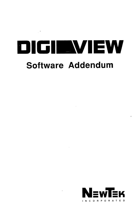# DIGIEWIEW **Software Addendum**

 $\sim 10^{11}$ 

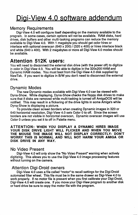## Digi-View 4.0 software addendum

#### Memory Requirements

Digi-View 4.0 will configure itself depending on the memory available to the program. In some cases, certain options will not be available. RAM disks, hard drives, disk buffers and other multi-tasking programs can reduce the memory available to Digi-View 4.0. With 1 megabyte you should get color hires or interlace with optional overscan (640 x 200)  $/$  (320 x 400) or hires interlace black and white (640 x 400). With 2 megabytes or more all Digi-View 4.0 modes should be available.

### Attention 512K users:

You will need to disconnect the external disk drive (with the power off) to digitize in color in Digi-View 4.0. You will be able to digitize in the 320x200 HAM and Dynamic HAM modes. You must boot from the Digi-View 4.0 disk supplied by NewTek. If you want to digitize in BIW you don't need to disconnect the external drive.

#### Dynamic Modes

The new Dynamic modes available with Digi-View 4.0 can be viewed with Dyna-Show. While displaying, Dyna-Show checks the floppy disk drives to make sure that if disks are removed while multi-tasking is turned off AmigaDOS will be notified. This may result in a flickering of the drive lights in some Amiga's while Dyna-Show is displaying a picture.

To provide clean screen borders when creating Dynamic images in 320 or 640 horizontal resolution, Digi-View 4.0 sets Color 0 to off. Since the screen borders are not visible in horizontal overscan, Dynamic overscan images will use Color 0 unless you set it to off in Palette menu.

#### ATTENTION: WHEN YOU DISPLAY A DYNAMIC HIRES IMAGE YOUR DISK DRIVE LIGHT WILL FLICKER AND WHEN YOU MOVE THE MOUSE THE IMAGE WILL NOT DISPLAY CORRECTLY- DON'T WORRY THIS IS NORMAL AND WILL NOT HARM YOUR AMIGA OR DISK DRIVE IN ANY WAY.

#### No Video Present

Digi-View 4.0 will only show the "No Video Present" warning when actively digitizing. This allows you to use the Digi-View 4.0 image processing features without turning on the camera.

#### Attention Digi-Droid owners

Digi-View 4.0 uses a file called "motor" to recall settings for the Digi-Droid automated filter wheel. This file must be in the same drawer as Digi-View 4.0 to work properly. If no motor file is present when you first calibrate your Digi-Droid, Digi-View 4.0 will create one. If you move your Digi-View program to another disk or hard drive be sure to copy the motor file with the program.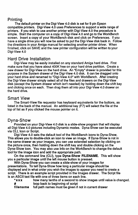#### Printing

The default printer on the Digi-View 4.0 disk is set for 9 pin Epson compatible printers. Digi-View 4.0 uses Preferences to support a wide range of printers. H you wish to use another printer with Digi-View 4.0 the procedure is simple. Start the computer on a copy of Digi-View 4.0 and go to the WorkBench screen. Insert a copy of your WorkBench disk and click on Preferences. H you have a single drive you will now be asked to put the Digi-View disk back in. Follow the directions in your Amiga manual for selecting another printer driver. When finished, click on SAVE and the new printer configuration will be written to your Digi-View 4.0

#### Hard Drive Installation

Digi-View may be easily installed on any standard Amiga hard drive. First make sure that you have about 400K free on your hard drive partition. Create a new drawer for Digi-View on the hard drive. An "Empty" drawer is provided for this purpose in the System drawer of the Digi-View 4.0 disk. It can be dragged onto your hard drive and renamed to "Digi-View 4.0" with WorkBench. After creating the Digi-View drawer simply select all of the files and drawers on the Digi-View disk (except the System drawer which isn't needed) by holding down the shift key and clicking once on each. Then drag them all into your Digi-View 4.0 drawer on the hard drive.

#### Smart View

The Smart-View file requestor has keyboard equivalents for the buttons, as listed in the back of the manual. An additional key (F7) will select the file at the top of list as if you clicked the mouse pointer on it.

#### Dyna-Show

Provided on your Digi-View 4.0 disk is a slide-show program that will display all Digi-View 4.0 pictures including Dynamic modes. Dyna-Show can be executed via CLI, Icon or Script.

Digi-View 4.0 sets the default tool of the WorkBench icons to Dyna-Show. This allows you to double-click an icon to view an image. If Dyna-Show is not in the same drawer as your images, you can use extended selection by clicking on the picture once, then holding down the shift key and double clicking on the Dyna-Show icon. You may also use Info on the WorkBench to change the default tool for the image icon and add the appropriate path.

On the command line (CLI), type Dyna-Show FILENAME. This will show you a particular image until the left mouse button is pressed.

With Dyna-Show you can create a slide-show of your images for presentations. To tell Dyna-Show how long a particular image should be displayed and in what order you wish the images to appear you need to create a script. There is an example script provided in the Images drawer. The Script file is an ASCII text file with one of three items on each line.

| $*xxx$ | how many tenths of a second to show images until value is changed. |
|--------|--------------------------------------------------------------------|
|        | loop back to beginning of script                                   |
| .      |                                                                    |

filename full path names must be given if not in current drawer